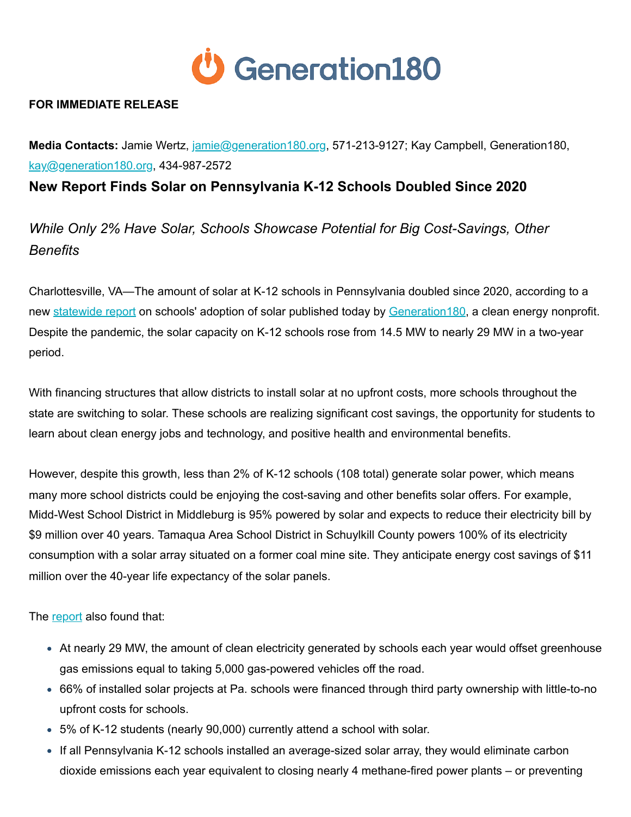

## **FOR IMMEDIATE RELEASE**

**Media Contacts:** Jamie Wertz, [jamie@generation180.org](mailto:jamie@generation180.org), 571-213-9127; Kay Campbell, Generation180, [kay@generation180.org](mailto:kay@generation180.org), 434-987-2572

**New Report Finds Solar on Pennsylvania K-12 Schools Doubled Since 2020**

*While Only 2% Have Solar, Schools Showcase Potential for Big Cost-Savings, Other Benefits* 

Charlottesville, VA—The amount of solar at K-12 schools in Pennsylvania doubled since 2020, according to a new [statewide report](https://generation180.org/solar-for-all-schools-pennsylvania/?utm_campaign=Solar%20for%20All%20Schools&utm_source=hs_email&utm_medium=email&_hsenc=p2ANqtz-9HDVkx9C5FnnSGKdm0apYpoGjpUtIP1ypDQA-Dg4RBs2seiaCDKZKnH6zTkUZxwqz0GsaH) on schools' adoption of solar published today by Generation 180, a clean energy nonprofit. Despite the pandemic, the solar capacity on K-12 schools rose from 14.5 MW to nearly 29 MW in a two-year period.

With financing structures that allow districts to install solar at no upfront costs, more schools throughout the state are switching to solar. These schools are realizing significant cost savings, the opportunity for students to learn about clean energy jobs and technology, and positive health and environmental benefits.

However, despite this growth, less than 2% of K-12 schools (108 total) generate solar power, which means many more school districts could be enjoying the cost-saving and other benefits solar offers. For example, Midd-West School District in Middleburg is 95% powered by solar and expects to reduce their electricity bill by \$9 million over 40 years. Tamaqua Area School District in Schuylkill County powers 100% of its electricity consumption with a solar array situated on a former coal mine site. They anticipate energy cost savings of \$11 million over the 40-year life expectancy of the solar panels.

The [report](https://generation180.org/solar-for-all-schools-pennsylvania/?utm_campaign=Solar%20for%20All%20Schools&utm_source=hs_email&utm_medium=email&_hsenc=p2ANqtz-9HDVkx9C5FnnSGKdm0apYpoGjpUtIP1ypDQA-Dg4RBs2seiaCDKZKnH6zTkUZxwqz0GsaH) also found that:

- At nearly 29 MW, the amount of clean electricity generated by schools each year would offset greenhouse gas emissions equal to taking 5,000 gas-powered vehicles off the road.
- 66% of installed solar projects at Pa. schools were financed through third party ownership with little-to-no upfront costs for schools.
- 5% of K-12 students (nearly 90,000) currently attend a school with solar.
- If all Pennsylvania K-12 schools installed an average-sized solar array, they would eliminate carbon dioxide emissions each year equivalent to closing nearly 4 methane-fired power plants – or preventing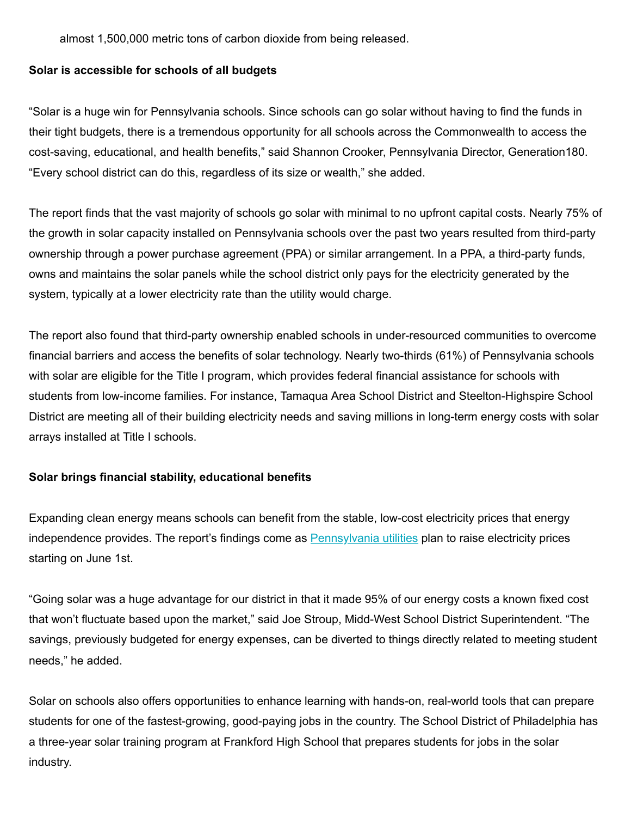almost 1,500,000 metric tons of carbon dioxide from being released.

## **Solar is accessible for schools of all budgets**

"Solar is a huge win for Pennsylvania schools. Since schools can go solar without having to find the funds in their tight budgets, there is a tremendous opportunity for all schools across the Commonwealth to access the cost-saving, educational, and health benefits," said Shannon Crooker, Pennsylvania Director, Generation180. "Every school district can do this, regardless of its size or wealth," she added.

The report finds that the vast majority of schools go solar with minimal to no upfront capital costs. Nearly 75% of the growth in solar capacity installed on Pennsylvania schools over the past two years resulted from third-party ownership through a power purchase agreement (PPA) or similar arrangement. In a PPA, a third-party funds, owns and maintains the solar panels while the school district only pays for the electricity generated by the system, typically at a lower electricity rate than the utility would charge.

The report also found that third-party ownership enabled schools in under-resourced communities to overcome financial barriers and access the benefits of solar technology. Nearly two-thirds (61%) of Pennsylvania schools with solar are eligible for the Title I program, which provides federal financial assistance for schools with students from low-income families. For instance, Tamaqua Area School District and Steelton-Highspire School District are meeting all of their building electricity needs and saving millions in long-term energy costs with solar arrays installed at Title I schools.

## **Solar brings financial stability, educational benefits**

Expanding clean energy means schools can benefit from the stable, low-cost electricity prices that energy independence provides. The report's findings come as **Pennsylvania utilities** plan to raise electricity prices starting on June 1st.

"Going solar was a huge advantage for our district in that it made 95% of our energy costs a known fixed cost that won't fluctuate based upon the market," said Joe Stroup, Midd-West School District Superintendent. "The savings, previously budgeted for energy expenses, can be diverted to things directly related to meeting student needs," he added.

Solar on schools also offers opportunities to enhance learning with hands-on, real-world tools that can prepare students for one of the fastest-growing, good-paying jobs in the country. The School District of Philadelphia has a three-year solar training program at Frankford High School that prepares students for jobs in the solar industry.